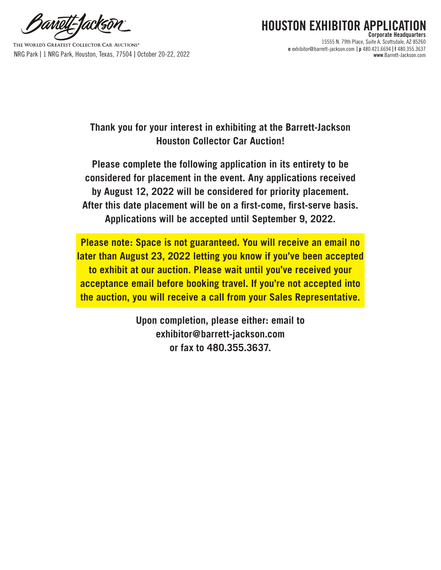anoll-Tacks

THE WORLD'S GREATEST COLLECTOR CAR AUCTIONS® NRG Park | 1 NRG Park, Houston, Texas, 77504 | October 20-22, 2022 **www**.Barrett-Jackson.com

## **HOUSTON EXHIBITOR APPLIC Corporate Headquarters** 15555 N. 79th Place, Suite A, Scottsdale, AZ 85260 **e** exhibitor@barrett-jackson.com | **p** 480.421.6694 | **f** 480.355.3637

**Thank you for your interest in exhibiting at the Barrett-Jackson Houston Collector Car Auction!** 

**Please complete the following application in its entirety to be considered for placement in the event. Any applications received by August 12, 2022 will be considered for priority placement. After this date placement will be on a first-come, first-serve basis. Applications will be accepted until September 9, 2022.** 

**Please note: Space is not guaranteed. You will receive an email no later than August 23, 2022 letting you know if you've been accepted to exhibit at our auction. Please wait until you've received your acceptance email before booking travel. If you're not accepted into the auction, you will receive a call from your Sales Representative.** 

> **Upon completion, please either: email to exhibitor@barrett-jackson.com or fax to 480.355.3637.**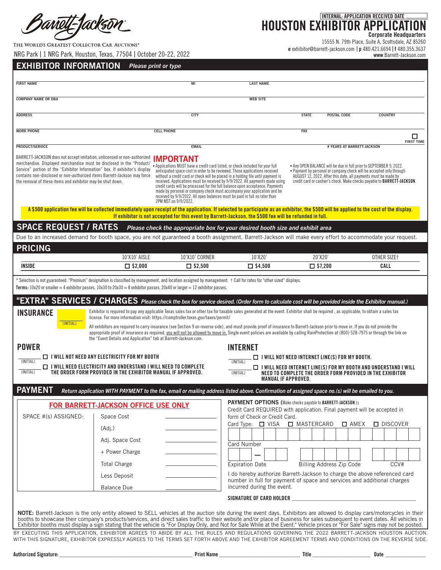THE WORLD'S GREATEST COLLECTOR CAR AUCTIONS®

**Corporate Headquarters**

15555 N. 79th Place, Suite A, Scottsdale, AZ 85260 **e** exhibitor@barrett-jackson.com | **p** 480.421.6694 | **f** 480.355.3637

| <b>FIRST NAME</b>                                          |                                                                                                                                                                                                                                    | M <sub>l</sub>                                                                                                                                                                                                                                                                                                                                                                                                                                                                                                                                                                                                                                                            | <b>LAST NAME</b>                                     |                                                                                                                                                                                                              |                                                                                 |
|------------------------------------------------------------|------------------------------------------------------------------------------------------------------------------------------------------------------------------------------------------------------------------------------------|---------------------------------------------------------------------------------------------------------------------------------------------------------------------------------------------------------------------------------------------------------------------------------------------------------------------------------------------------------------------------------------------------------------------------------------------------------------------------------------------------------------------------------------------------------------------------------------------------------------------------------------------------------------------------|------------------------------------------------------|--------------------------------------------------------------------------------------------------------------------------------------------------------------------------------------------------------------|---------------------------------------------------------------------------------|
| <b>COMPANY NAME OR DBA</b>                                 |                                                                                                                                                                                                                                    |                                                                                                                                                                                                                                                                                                                                                                                                                                                                                                                                                                                                                                                                           | <b>WEB SITE</b>                                      |                                                                                                                                                                                                              |                                                                                 |
| <b>ADDRESS</b>                                             |                                                                                                                                                                                                                                    | <b>CITY</b>                                                                                                                                                                                                                                                                                                                                                                                                                                                                                                                                                                                                                                                               |                                                      | <b>STATE</b><br><b>POSTAL CODE</b>                                                                                                                                                                           | <b>COUNTRY</b>                                                                  |
| <b>WORK PHONE</b>                                          |                                                                                                                                                                                                                                    | <b>CELL PHONE</b>                                                                                                                                                                                                                                                                                                                                                                                                                                                                                                                                                                                                                                                         |                                                      | <b>FAX</b>                                                                                                                                                                                                   | □                                                                               |
| <b>PRODUCT/SERVICE</b>                                     |                                                                                                                                                                                                                                    | <b>EMAIL</b>                                                                                                                                                                                                                                                                                                                                                                                                                                                                                                                                                                                                                                                              |                                                      | # YEARS AT BARRETT-JACKSON                                                                                                                                                                                   | <b>FIRST TIME</b>                                                               |
| the removal of these items and exhibitor may be shut down. | BARRETT-JACKSON does not accept imitation, unlicensed or non-authorized<br>Service" portion of the "Exhibitor Information" box. If exhibitor's display<br>contains non-disclosed or non-authorized items Barrett-Jackson may force | <b>IMPORTANT</b><br>anticipated space cost in order to be reviewed. Those applications received<br>without a credit card or check will be placed in a holding file until payment is<br>received. Applications must be received by 9/9/2022. All payments made using<br>credit cards will be processed for the full balance upon acceptance. Payments<br>made by personal or company check must accompany your application and be<br>received by 9/9/2022. All open balances must be paid in full no later than<br>2PM MST on 9/9/2022.                                                                                                                                    |                                                      | • Any OPEN BALANCE will be due in full prior to SEPTEMBER 9, 2022.<br>. Payment by personal or company check will be accepted only through<br>AUGUST 12, 2022. After this date, all payments must be made by | credit card or cashier's check. Make checks payable to <b>BARRETT-JACKSON</b> . |
|                                                            |                                                                                                                                                                                                                                    | A \$500 application fee will be collected immediately upon receipt of the application. If selected to participate as an exhibitor, the \$500 will be applied to the cost of the display.<br>If exhibitor is not accepted for this event by Barrett-Jackson, the \$500 fee will be refunded in full.                                                                                                                                                                                                                                                                                                                                                                       |                                                      |                                                                                                                                                                                                              |                                                                                 |
| <b>SPACE REQUEST / RATES</b>                               |                                                                                                                                                                                                                                    | Please check the appropriate box for your desired booth size and exhibit area                                                                                                                                                                                                                                                                                                                                                                                                                                                                                                                                                                                             |                                                      |                                                                                                                                                                                                              |                                                                                 |
|                                                            |                                                                                                                                                                                                                                    | Due to an increased demand for booth space, you are not guaranteed a booth assignment. Barrett-Jackson will make every effort to accommodate your request.                                                                                                                                                                                                                                                                                                                                                                                                                                                                                                                |                                                      |                                                                                                                                                                                                              |                                                                                 |
| <b>PRICING</b>                                             | 10'X10' AISLE                                                                                                                                                                                                                      | 10'X10' CORNER                                                                                                                                                                                                                                                                                                                                                                                                                                                                                                                                                                                                                                                            | 10'X20'                                              | 20'X20'                                                                                                                                                                                                      | OTHER SIZE+                                                                     |
|                                                            |                                                                                                                                                                                                                                    |                                                                                                                                                                                                                                                                                                                                                                                                                                                                                                                                                                                                                                                                           |                                                      |                                                                                                                                                                                                              |                                                                                 |
| INSIDE<br><b>INSURANCE</b>                                 | $\square$ \$2,000                                                                                                                                                                                                                  | $\Box$ \$2,500<br>* Selection is not guaranteed. "Premium" designation is classified by management, and location assigned by management. † Call for rates for "other sized" displays.<br>Terms: $10x20$ or smaller = 4 exhibitor passes. $10x30$ to $20x30 = 8$ exhibitor passes. $20x40$ or larger = $12$ exhibitor passes.<br>"EXTRA" SERVICES / CHARGES Please check the box for service desired. (Order form to calculate cost will be provided inside the Exhibitor manual.)<br>Exhibitor is required to pay any applicable Texas sales tax or other tax for taxable sales generated at the event. Exhibitor shall be required, as applicable, to obtain a sales tax | $\square$ \$4,500                                    | $\square$ \$7,200                                                                                                                                                                                            | CALL                                                                            |
| (INITIAL)                                                  | the "Event Details and Application" tab at Barrett-Jackson.com.                                                                                                                                                                    | license. For more information visit: https://comptroller.texas.gov/taxes/permit/<br>All exhibitors are required to carry insurance (see Section 9 on reverse side), and must provide proof of insurance to Barrett-Jackson prior to move in. If you do not provide the<br>appropriate proof of insurance as required, you will not be allowed to move in. Single event policies are available by calling RainProtection at (800) 528-7975 or through the link on                                                                                                                                                                                                          |                                                      |                                                                                                                                                                                                              |                                                                                 |
| <b>POWER</b>                                               |                                                                                                                                                                                                                                    |                                                                                                                                                                                                                                                                                                                                                                                                                                                                                                                                                                                                                                                                           | <b>INTERNET</b>                                      |                                                                                                                                                                                                              |                                                                                 |
|                                                            | $\Box$ I will not need any electricity for MY booth<br>$\Box$ I will need electricity and understand I will need to complete<br>THE ORDER FORM PROVIDED IN THE EXHIBITOR MANUAL IF APPROVED.                                       |                                                                                                                                                                                                                                                                                                                                                                                                                                                                                                                                                                                                                                                                           | (INITIAL)<br>(INITIAL)<br><b>MANUAL IF APPROVED.</b> | $\Box$ I will not need internet line(s) for My Booth.<br>$\Box$ I will need internet line(s) for MY booth and understand I will<br>NEED TO COMPLETE THE ORDER FORM PROVIDED IN THE EXHIBITOR                 |                                                                                 |
| (INITIAL)<br>(INITIAL)<br><b>PAYMENT</b>                   |                                                                                                                                                                                                                                    | Return application WITH PAYMENT to the fax, email or mailing address listed above. Confirmation of assigned space no.(s) will be emailed to you.                                                                                                                                                                                                                                                                                                                                                                                                                                                                                                                          |                                                      |                                                                                                                                                                                                              |                                                                                 |
|                                                            | FOR BARRETT-JACKSON OFFICE USE ONLY                                                                                                                                                                                                |                                                                                                                                                                                                                                                                                                                                                                                                                                                                                                                                                                                                                                                                           |                                                      | <b>PAYMENT OPTIONS</b> (Make checks payable to BARRETT-JACKSON.):                                                                                                                                            |                                                                                 |
|                                                            | Space Cost                                                                                                                                                                                                                         |                                                                                                                                                                                                                                                                                                                                                                                                                                                                                                                                                                                                                                                                           | form of Check or Credit Card.                        | Credit Card REQUIRED with application. Final payment will be accepted in                                                                                                                                     |                                                                                 |
|                                                            | (Adj.)                                                                                                                                                                                                                             |                                                                                                                                                                                                                                                                                                                                                                                                                                                                                                                                                                                                                                                                           | Card Type: $\Box$ VISA                               | MASTERCARD<br>$\square$ AMEX                                                                                                                                                                                 | $\Box$ DISCOVER                                                                 |
|                                                            | Adj. Space Cost                                                                                                                                                                                                                    |                                                                                                                                                                                                                                                                                                                                                                                                                                                                                                                                                                                                                                                                           | <b>Card Number</b>                                   |                                                                                                                                                                                                              |                                                                                 |
|                                                            | + Power Charge                                                                                                                                                                                                                     |                                                                                                                                                                                                                                                                                                                                                                                                                                                                                                                                                                                                                                                                           |                                                      |                                                                                                                                                                                                              |                                                                                 |
|                                                            | <b>Total Charge</b>                                                                                                                                                                                                                |                                                                                                                                                                                                                                                                                                                                                                                                                                                                                                                                                                                                                                                                           | <b>Expiration Date</b>                               | <b>Billing Address Zip Code</b>                                                                                                                                                                              | CCV#                                                                            |
| SPACE #(s) ASSIGNED:                                       | Less Deposit<br><b>Balance Due</b>                                                                                                                                                                                                 |                                                                                                                                                                                                                                                                                                                                                                                                                                                                                                                                                                                                                                                                           | incurred during the event.                           | I do hereby authorize Barrett-Jackson to charge the above referenced card<br>number in full for payment of space and services and additional charges                                                         |                                                                                 |

BY EXECUTING THIS APPLICATION, EXHIBITOR AGREES TO ABIDE BY ALL THE RULES AND REGULATIONS GOVERNING THE 2022 BARRETT-JACKSON HOUSTON AUCTION. WITH THIS SIGNATURE, EXHIBITOR EXPRESSLY AGREES TO THE TERMS SET FORTH ABOVE AND THE EXHIBITOR AGREEMENT TERMS AND CONDITIONS ON THE REVERSE SIDE.